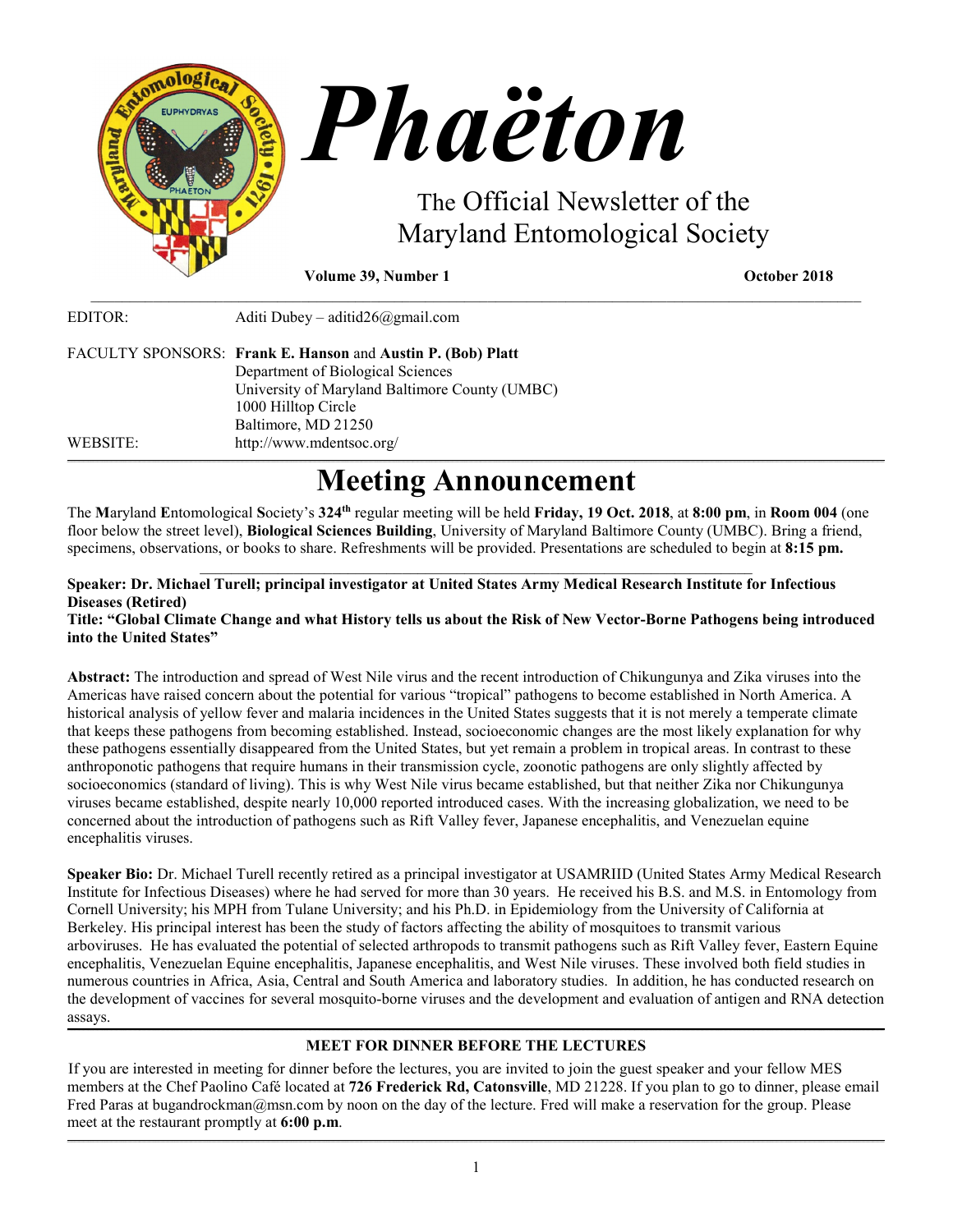

**Volume 39, Number 1** October 2018

| EDITOR:  | Aditi Dubey – aditid $26$ @gmail.com                                                |
|----------|-------------------------------------------------------------------------------------|
|          | FACULTY SPONSORS: Frank E. Hanson and Austin P. (Bob) Platt                         |
|          | Department of Biological Sciences<br>University of Maryland Baltimore County (UMBC) |
|          | 1000 Hilltop Circle<br>Baltimore, MD 21250                                          |
| WEBSITE: | http://www.mdentsoc.org/                                                            |

# **Meeting Announcement**

\_\_\_\_\_\_\_\_\_\_\_\_\_\_\_\_\_\_\_\_\_\_\_\_\_\_\_\_\_\_\_\_\_\_\_\_\_\_\_\_\_\_\_\_\_\_\_\_\_\_\_\_\_\_\_\_\_\_\_\_\_\_\_\_\_\_\_\_\_\_\_\_\_\_\_\_\_\_\_\_\_\_\_\_\_\_\_\_\_\_\_\_\_\_\_\_\_\_\_

The **M**aryland **E**ntomological **S**ociety's **324th** regular meeting will be held **Friday, 19 Oct. 2018**, at **8:00 pm**, in **Room 004** (one floor below the street level), **Biological Sciences Building**, University of Maryland Baltimore County (UMBC). Bring a friend, specimens, observations, or books to share. Refreshments will be provided. Presentations are scheduled to begin at **8:15 pm.**

# $\mathcal{L}_\mathcal{L} = \{ \mathcal{L}_\mathcal{L} = \{ \mathcal{L}_\mathcal{L} = \{ \mathcal{L}_\mathcal{L} = \{ \mathcal{L}_\mathcal{L} = \{ \mathcal{L}_\mathcal{L} = \{ \mathcal{L}_\mathcal{L} = \{ \mathcal{L}_\mathcal{L} = \{ \mathcal{L}_\mathcal{L} = \{ \mathcal{L}_\mathcal{L} = \{ \mathcal{L}_\mathcal{L} = \{ \mathcal{L}_\mathcal{L} = \{ \mathcal{L}_\mathcal{L} = \{ \mathcal{L}_\mathcal{L} = \{ \mathcal{L}_\mathcal{$ **Speaker: Dr. Michael Turell; principal investigator at United States Army Medical Research Institute for Infectious Diseases (Retired)**

# **Title: "Global Climate Change and what History tells us about the Risk of New Vector-Borne Pathogens being introduced into the United States"**

**Abstract:** The introduction and spread of West Nile virus and the recent introduction of Chikungunya and Zika viruses into the Americas have raised concern about the potential for various "tropical" pathogens to become established in North America. A historical analysis of yellow fever and malaria incidences in the United States suggests that it is not merely a temperate climate that keeps these pathogens from becoming established. Instead, socioeconomic changes are the most likely explanation for why these pathogens essentially disappeared from the United States, but yet remain a problem in tropical areas. In contrast to these anthroponotic pathogens that require humans in their transmission cycle, zoonotic pathogens are only slightly affected by socioeconomics (standard of living). This is why West Nile virus became established, but that neither Zika nor Chikungunya viruses became established, despite nearly 10,000 reported introduced cases. With the increasing globalization, we need to be concerned about the introduction of pathogens such as Rift Valley fever, Japanese encephalitis, and Venezuelan equine encephalitis viruses.

**Speaker Bio:** Dr. Michael Turell recently retired as a principal investigator at USAMRIID (United States Army Medical Research Institute for Infectious Diseases) where he had served for more than 30 years. He received his B.S. and M.S. in Entomology from Cornell University; his MPH from Tulane University; and his Ph.D. in Epidemiology from the University of California at Berkeley. His principal interest has been the study of factors affecting the ability of mosquitoes to transmit various arboviruses. He has evaluated the potential of selected arthropods to transmit pathogens such as Rift Valley fever, Eastern Equine encephalitis, Venezuelan Equine encephalitis, Japanese encephalitis, and West Nile viruses. These involved both field studies in numerous countries in Africa, Asia, Central and South America and laboratory studies. In addition, he has conducted research on the development of vaccines for several mosquito-borne viruses and the development and evaluation of antigen and RNA detection assays.

#### **\_\_\_\_\_\_\_\_\_\_\_\_\_\_\_\_\_\_\_\_\_\_\_\_\_\_\_\_\_\_\_\_\_\_\_\_\_\_\_\_\_\_\_\_\_\_\_\_\_\_\_\_\_\_\_\_\_\_\_\_\_\_\_\_\_\_\_\_\_\_\_\_\_\_\_\_\_\_\_\_\_\_\_\_\_\_\_\_\_\_\_\_\_\_\_\_\_\_\_\_\_\_\_\_\_\_\_\_\_\_\_\_\_\_\_\_\_\_\_\_\_\_\_\_\_\_\_\_\_\_\_\_\_\_\_\_\_\_\_\_\_\_\_\_\_\_\_\_\_\_\_\_\_\_\_\_\_\_\_\_\_\_\_\_\_\_\_\_\_\_\_\_\_\_\_\_\_\_\_\_\_\_\_\_\_\_\_\_\_\_\_\_\_\_\_\_\_\_\_\_\_\_\_\_\_\_\_\_\_\_\_\_\_\_\_\_\_\_\_\_\_\_\_\_\_\_\_\_\_\_\_\_\_\_\_\_\_\_\_\_\_\_\_\_\_\_\_\_\_\_\_\_\_\_\_\_\_\_\_\_\_\_\_\_\_\_\_\_\_\_\_\_\_\_\_\_\_\_\_\_\_\_\_\_\_\_\_\_\_\_\_\_\_\_\_\_\_\_\_\_\_\_\_\_\_\_\_\_\_\_\_\_\_\_\_\_\_\_\_\_\_\_\_\_\_\_\_\_\_\_\_\_\_\_\_\_\_\_\_\_\_\_\_\_\_\_\_\_\_\_ MEET FOR DINNER BEFORE THE LECTURES**

If you are interested in meeting for dinner before the lectures, you are invited to join the guest speaker and your fellow MES members at the [Chef Paolino Café](https://www.google.com/maps/place/Chef+Paolino+Cafe/@39.2727924,-76.7320191,15z/data=!4m5!3m4!1s0x0:0x5b7140dd2ad4f543!8m2!3d39.2727924!4d-76.7320191) located at **726 Frederick Rd, Catonsville**, MD 21228. If you plan to go to dinner, please email Fred Paras at bugandrockman@msn.com by noon on the day of the lecture. Fred will make a reservation for the group. Please meet at the restaurant promptly at **6:00 p.m**.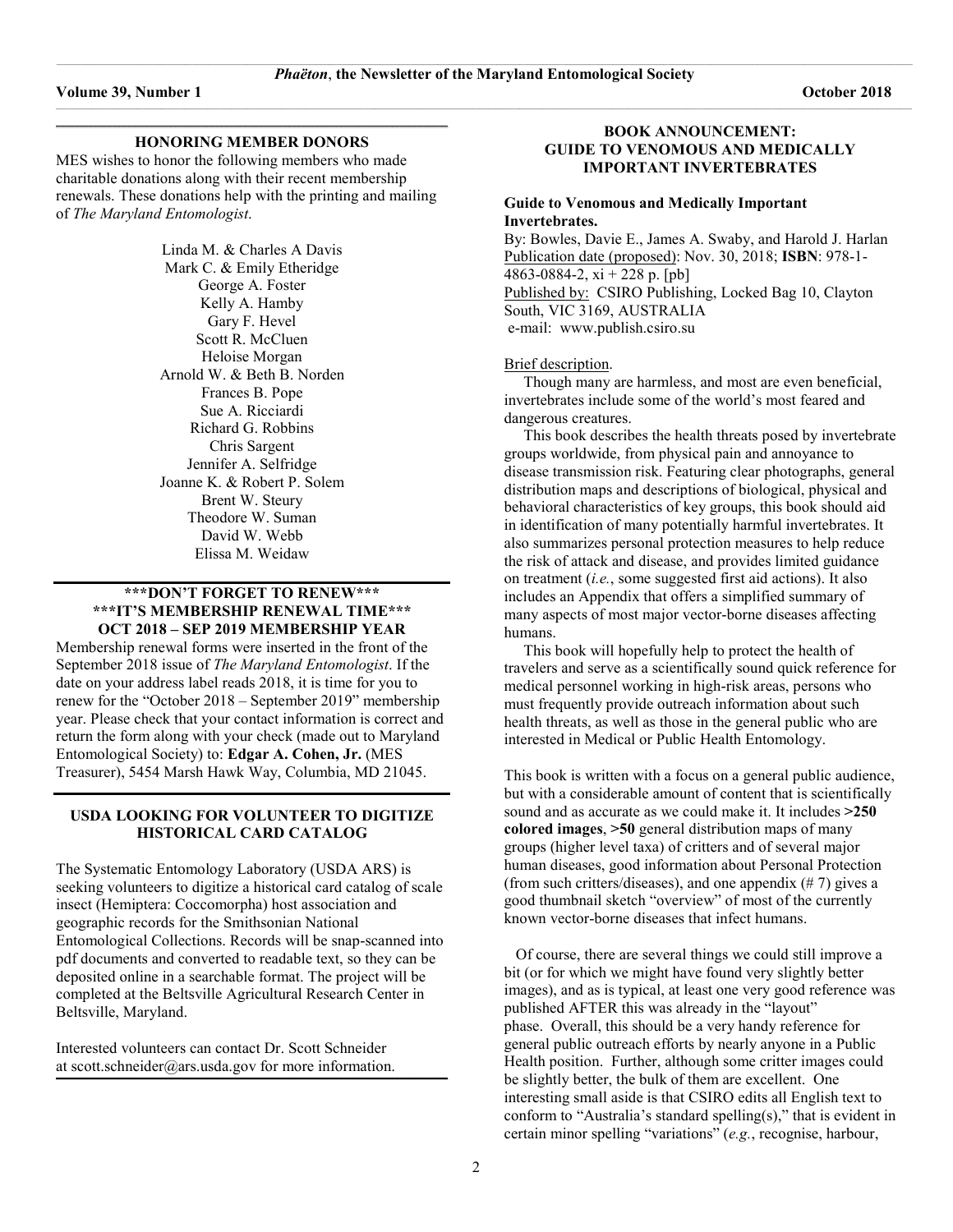#### **\_\_\_\_\_\_\_\_\_\_\_\_\_\_\_\_\_\_\_\_\_\_\_\_\_\_\_\_\_\_\_\_\_\_\_\_\_\_\_\_\_\_\_\_\_\_\_\_\_\_\_\_\_\_\_\_\_\_\_\_\_\_\_\_\_\_\_\_\_\_\_\_\_\_\_\_\_\_\_\_\_\_\_\_\_\_\_\_\_\_\_\_\_\_\_\_\_\_\_\_\_\_\_\_\_\_\_\_\_\_\_\_\_\_\_\_\_\_\_\_\_\_\_\_\_\_\_\_\_\_\_\_\_\_\_\_\_\_\_\_\_\_\_\_\_\_\_\_\_\_\_\_\_\_\_\_\_\_\_\_\_\_\_\_\_\_\_\_ HONORING MEMBER DONORS**

MES wishes to honor the following members who made charitable donations along with their recent membership renewals. These donations help with the printing and mailing of *The Maryland Entomologist*.

> Linda M. & Charles A Davis Mark C. & Emily Etheridge George A. Foster Kelly A. Hamby Gary F. Hevel Scott R. McCluen Heloise Morgan Arnold W. & Beth B. Norden Frances B. Pope Sue A. Ricciardi Richard G. Robbins Chris Sargent Jennifer A. Selfridge Joanne K. & Robert P. Solem Brent W. Steury Theodore W. Suman David W. Webb Elissa M. Weidaw

#### **\*\*\*DON'T FORGET TO RENEW\*\*\* \*\*\*IT'S MEMBERSHIP RENEWAL TIME\*\*\* OCT 2018 – SEP 2019 MEMBERSHIP YEAR**

Membership renewal forms were inserted in the front of the September 2018 issue of *The Maryland Entomologist*. If the date on your address label reads 2018, it is time for you to renew for the "October 2018 – September 2019" membership year. Please check that your contact information is correct and return the form along with your check (made out to Maryland Entomological Society) to: **Edgar A. Cohen, Jr.** (MES Treasurer), 5454 Marsh Hawk Way, Columbia, MD 21045.

# **USDA LOOKING FOR VOLUNTEER TO DIGITIZE HISTORICAL CARD CATALOG**

The Systematic Entomology Laboratory (USDA ARS) is seeking volunteers to digitize a historical card catalog of scale insect (Hemiptera: Coccomorpha) host association and geographic records for the Smithsonian National Entomological Collections. Records will be snap-scanned into pdf documents and converted to readable text, so they can be deposited online in a searchable format. The project will be completed at the Beltsville Agricultural Research Center in Beltsville, Maryland.

**\_\_\_\_\_\_\_\_\_\_\_\_\_\_\_\_\_\_\_\_\_\_\_\_\_\_\_\_\_\_\_\_\_\_\_\_\_\_\_\_\_\_\_\_\_\_\_\_\_\_\_\_\_\_\_\_\_\_\_\_\_\_\_\_\_\_\_\_\_\_\_\_\_\_\_\_\_\_\_\_\_\_\_\_\_\_\_\_\_\_\_\_\_\_\_\_\_\_\_\_\_\_\_\_\_\_\_\_\_\_\_\_\_\_\_\_\_\_\_\_\_\_\_\_\_\_\_\_\_\_\_\_\_\_\_\_\_\_\_\_\_\_\_\_\_\_\_\_\_\_\_\_\_\_\_\_\_\_\_\_\_\_\_\_\_\_\_\_**

Interested volunteers can contact Dr. Scott Schneider at [scott.schneider@ars.usda.gov](mailto:scott.schneider@ars.usda.gov) for more information.

#### **BOOK ANNOUNCEMENT: GUIDE TO VENOMOUS AND MEDICALLY IMPORTANT INVERTEBRATES**

#### **Guide to Venomous and Medically Important Invertebrates.**

By: Bowles, Davie E., [James A. Swaby,](https://www.amazon.com/s/ref=dp_byline_sr_book_2?ie=UTF8&text=James+Swaby&search-alias=books&field-author=James+Swaby&sort=relevancerank) and [Harold J. Harlan](https://www.amazon.com/s/ref=dp_byline_sr_book_3?ie=UTF8&text=Harold+Harlan&search-alias=books&field-author=Harold+Harlan&sort=relevancerank)  Publication date (proposed): Nov. 30, 2018; **ISBN**: 978-1- 4863-0884-2,  $xi + 228$  p. [pb] Published by: CSIRO Publishing, Locked Bag 10, Clayton South, VIC 3169, AUSTRALIA e-mail: [www.publish.csiro.su](http://www.publish.csiro.su/) 

#### Brief description.

 Though many are harmless, and most are even beneficial, invertebrates include some of the world's most feared and dangerous creatures.

 This book describes the health threats posed by invertebrate groups worldwide, from physical pain and annoyance to disease transmission risk. Featuring clear photographs, general distribution maps and descriptions of biological, physical and behavioral characteristics of key groups, this book should aid in identification of many potentially harmful invertebrates. It also summarizes personal protection measures to help reduce the risk of attack and disease, and provides limited guidance on treatment (*i.e.*, some suggested first aid actions). It also includes an Appendix that offers a simplified summary of many aspects of most major vector-borne diseases affecting humans.

 This book will hopefully help to protect the health of travelers and serve as a scientifically sound quick reference for medical personnel working in high-risk areas, persons who must frequently provide outreach information about such health threats, as well as those in the general public who are interested in Medical or Public Health Entomology.

This book is written with a focus on a general public audience, but with a considerable amount of content that is scientifically sound and as accurate as we could make it. It includes **>250 colored images**, **>50** general distribution maps of many groups (higher level taxa) of critters and of several major human diseases, good information about Personal Protection (from such critters/diseases), and one appendix  $(\# 7)$  gives a good thumbnail sketch "overview" of most of the currently known vector-borne diseases that infect humans.

 Of course, there are several things we could still improve a bit (or for which we might have found very slightly better images), and as is typical, at least one very good reference was published AFTER this was already in the "layout" phase. Overall, this should be a very handy reference for general public outreach efforts by nearly anyone in a Public Health position. Further, although some critter images could be slightly better, the bulk of them are excellent. One interesting small aside is that CSIRO edits all English text to conform to "Australia's standard spelling(s)," that is evident in certain minor spelling "variations" (*e.g.*, recognise, harbour,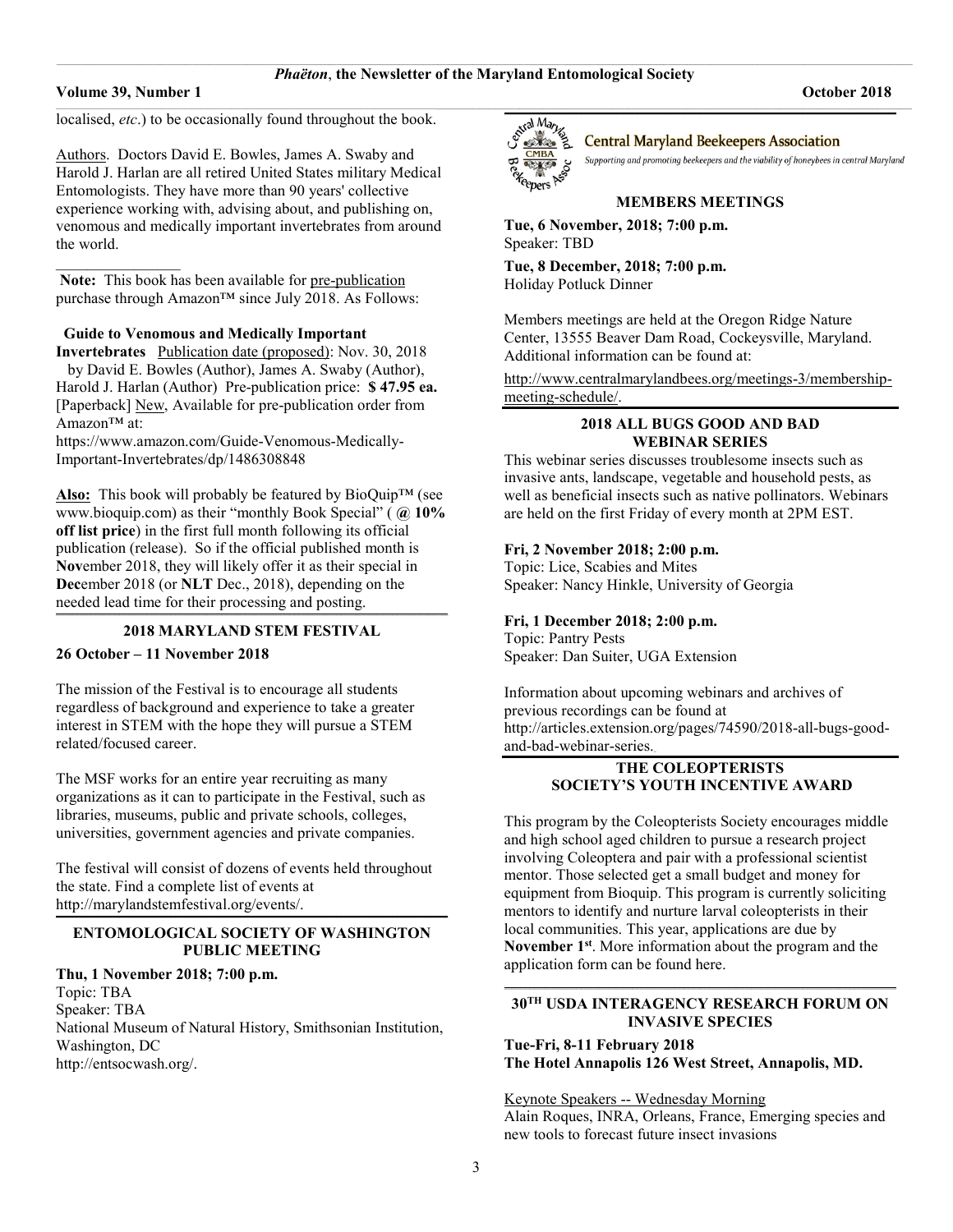$\_$  , and the set of the set of the set of the set of the set of the set of the set of the set of the set of the set of the set of the set of the set of the set of the set of the set of the set of the set of the set of th

#### **Volume 39, Number 1 October 2018**

 $\mathcal{L}$  , we have the set of  $\mathcal{L}$ 

localised, *etc*.) to be occasionally found throughout the book.

Authors. Doctors David E. Bowles, James A. Swaby and Harold J. Harlan are all retired United States military Medical Entomologists. They have more than 90 years' collective experience working with, advising about, and publishing on, venomous and medically important invertebrates from around the world.

Note: This book has been available for pre-publication purchase through Amazon<sup>™</sup> since July 2018. As Follows:

### **Guide to Venomous and Medically Important**

**Invertebrates** Publication date (proposed): Nov. 30, 2018 by [David E. Bowles](https://www.amazon.com/s/ref=dp_byline_sr_book_1?ie=UTF8&text=David+Bowles&search-alias=books&field-author=David+Bowles&sort=relevancerank) (Author)[, James A. Swaby](https://www.amazon.com/s/ref=dp_byline_sr_book_2?ie=UTF8&text=James+Swaby&search-alias=books&field-author=James+Swaby&sort=relevancerank) (Author), [Harold J. Harlan](https://www.amazon.com/s/ref=dp_byline_sr_book_3?ie=UTF8&text=Harold+Harlan&search-alias=books&field-author=Harold+Harlan&sort=relevancerank) (Author) Pre-publication price: **\$ 47.95 ea.**  [Paperback] New, Available for pre-publication order from Amazon™ at:

[https://www.amazon.com/Guide-Venomous-Medically-](https://www.amazon.com/Guide-Venomous-Medically-Important-Invertebrates/dp/1486308848)[Important-Invertebrates/dp/1486308848](https://www.amazon.com/Guide-Venomous-Medically-Important-Invertebrates/dp/1486308848) 

**Also:** This book will probably be featured by BioQuip™ (see [www.bioquip.com\)](http://www.bioquip.com/) as their "monthly Book Special" ( **@ 10% off list price**) in the first full month following its official publication (release). So if the official published month is **Nov**ember 2018, they will likely offer it as their special in **Dec**ember 2018 (or **NLT** Dec., 2018), depending on the needed lead time for their processing and posting. **\_\_\_\_\_\_\_\_\_\_\_\_\_\_\_\_\_\_\_\_\_\_\_\_\_\_\_\_\_\_\_\_\_\_\_\_\_\_\_\_\_\_\_\_\_\_\_\_\_\_\_\_\_\_\_\_\_\_\_\_\_\_\_\_\_\_\_\_\_\_\_\_\_\_\_\_\_\_\_\_\_\_\_\_\_\_\_\_\_\_\_\_\_\_\_\_\_\_\_\_\_\_\_\_\_\_\_\_\_\_\_\_\_\_\_\_\_\_\_\_\_\_\_\_\_\_\_\_\_\_\_\_\_\_\_\_\_\_\_\_\_\_\_\_\_\_\_\_\_\_\_\_\_\_\_\_\_\_\_\_\_\_\_\_\_\_\_\_**

#### **2018 MARYLAND STEM FESTIVAL**

#### **26 October – 11 November 2018**

The mission of the Festival is to encourage all students regardless of background and experience to take a greater interest in STEM with the hope they will pursue a STEM related/focused career.

The MSF works for an entire year recruiting as many organizations as it can to participate in the Festival, such as libraries, museums, public and private schools, colleges, universities, government agencies and private companies.

The festival will consist of dozens of events held throughout the state. Find a complete list of events at [http://marylandstemfestival.org/events/.](http://marylandstemfestival.org/events/)

#### **\_\_\_\_\_\_\_\_\_\_\_\_\_\_\_\_\_\_\_\_\_\_\_\_\_\_\_\_\_\_\_\_\_\_\_\_\_\_\_\_\_\_\_\_\_\_\_\_\_\_\_\_\_\_\_\_\_\_\_\_\_\_\_\_\_\_\_\_\_\_\_\_\_\_\_\_\_\_\_\_\_\_\_\_\_\_\_\_\_\_\_\_\_\_\_\_\_\_\_\_\_\_\_\_\_\_\_\_\_\_\_\_\_\_\_\_\_\_\_\_\_\_\_\_\_\_\_\_\_\_\_\_\_\_\_\_\_\_\_\_\_\_\_\_\_\_\_\_\_\_\_\_\_\_\_\_\_\_\_\_\_\_\_\_\_\_\_\_ ENTOMOLOGICAL SOCIETY OF WASHINGTON PUBLIC MEETING**

#### **Thu, 1 November 2018; 7:00 p.m.**

Topic: TBA Speaker: TBA National Museum of Natural History, Smithsonian Institution, Washington, DC [http://entsocwash.org/.](http://entsocwash.org/)



#### **Central Maryland Beekeepers Association**

Supporting and promoting beekeepers and the viability of honeybees in central Maryland

#### **MEMBERS MEETINGS**

**Tue, 6 November, 2018; 7:00 p.m.** Speaker: TBD

**Tue, 8 December, 2018; 7:00 p.m.** Holiday Potluck Dinner

Members meetings are held at the Oregon Ridge Nature Center, 13555 Beaver Dam Road, Cockeysville, Maryland. Additional information can be found at:

[http://www.centralmarylandbees.org/meetings-3/membership](http://www.centralmarylandbees.org/meetings-3/membership-meeting-schedule/)[meeting-schedule/.](http://www.centralmarylandbees.org/meetings-3/membership-meeting-schedule/)

#### **2018 ALL BUGS GOOD AND BAD WEBINAR SERIES**

This webinar series discusses troublesome insects such as invasive ants, landscape, vegetable and household pests, as well as beneficial insects such as native pollinators. Webinars are held on the first Friday of every month at 2PM EST.

#### **Fri, 2 November 2018; 2:00 p.m.**

Topic: Lice, Scabies and Mites Speaker: Nancy Hinkle, University of Georgia

# **Fri, 1 December 2018; 2:00 p.m.**

Topic: Pantry Pests Speaker: Dan Suiter, UGA Extension

Information about upcoming webinars and archives of previous recordings can be found at [http://articles.extension.org/pages/74590/2018-all-bugs-good](http://articles.extension.org/pages/74590/2018-all-bugs-good-and-bad-webinar-series)[and-bad-webinar-series.](http://articles.extension.org/pages/74590/2018-all-bugs-good-and-bad-webinar-series)**\_** 

### **THE COLEOPTERISTS SOCIETY'S YOUTH INCENTIVE AWARD**

This program by the Coleopterists Society encourages middle and high school aged children to pursue a research project involving Coleoptera and pair with a professional scientist mentor. Those selected get a small budget and money for equipment from Bioquip. This program is currently soliciting mentors to identify and nurture larval coleopterists in their local communities. This year, applications are due by **November 1st**. More information about the program and the application form can be found [here.](http://www.coleopsoc.org/default.asp?Action=Show_SocietyInfo&ID=Youth)

#### **\_\_\_\_\_\_\_\_\_\_\_\_\_\_\_\_\_\_\_\_\_\_\_\_\_\_\_\_\_\_\_\_\_\_\_\_\_\_\_\_\_\_\_\_\_\_\_\_\_\_\_\_\_\_\_\_\_\_\_\_\_\_\_\_\_\_\_\_\_\_\_\_\_\_\_\_\_\_\_\_\_\_\_\_\_\_\_\_\_\_\_\_\_\_\_\_\_\_\_\_\_\_\_\_\_\_\_\_\_\_\_\_\_\_\_\_\_\_\_\_\_\_\_\_\_\_\_\_\_\_\_\_\_\_\_\_\_\_\_\_\_\_\_\_\_\_\_\_\_\_\_\_\_\_\_\_\_\_\_\_\_\_\_\_\_\_\_\_ 30TH USDA INTERAGENCY RESEARCH FORUM ON INVASIVE SPECIES**

**Tue-Fri, 8-11 February 2018 The Hotel Annapolis 126 West Street, Annapolis, MD.** 

#### Keynote Speakers -- Wednesday Morning

Alain Roques, INRA, Orleans, France, Emerging species and new tools to forecast future insect invasions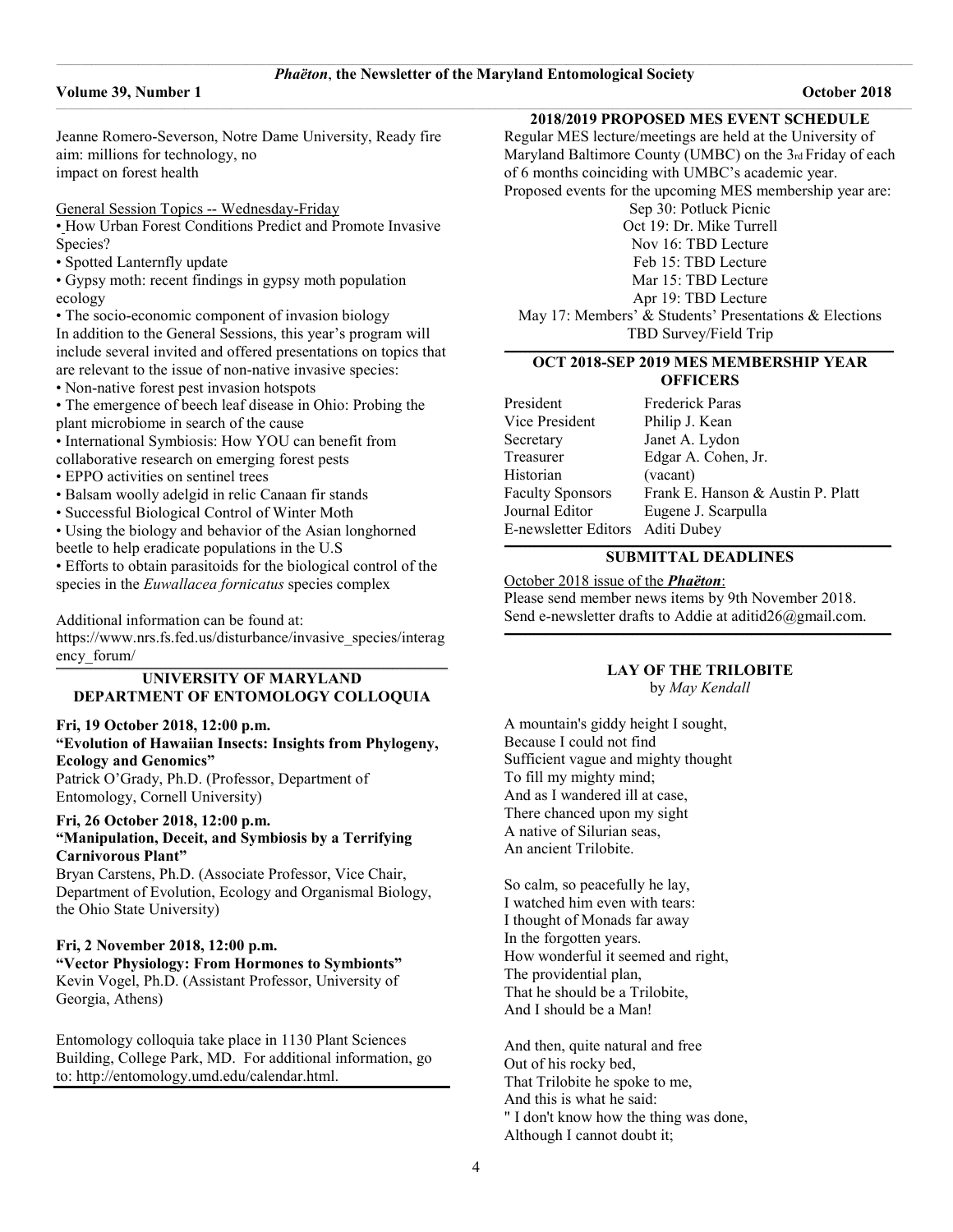#### **Volume 39, Number 1 October 2018**

Jeanne Romero-Severson, Notre Dame University, Ready fire aim: millions for technology, no impact on forest health

General Session Topics -- Wednesday-Friday

• How Urban Forest Conditions Predict and Promote Invasive Species?

• Spotted Lanternfly update

• Gypsy moth: recent findings in gypsy moth population ecology

• The socio-economic component of invasion biology In addition to the General Sessions, this year's program will include several invited and offered presentations on topics that are relevant to the issue of non-native invasive species:

• Non-native forest pest invasion hotspots

• The emergence of beech leaf disease in Ohio: Probing the plant microbiome in search of the cause

• International Symbiosis: How YOU can benefit from

collaborative research on emerging forest pests

• EPPO activities on sentinel trees

• Balsam woolly adelgid in relic Canaan fir stands

• Successful Biological Control of Winter Moth

• Using the biology and behavior of the Asian longhorned beetle to help eradicate populations in the U.S

• Efforts to obtain parasitoids for the biological control of the species in the *Euwallacea fornicatus* species complex

Additional information can be found at: [https://www.nrs.fs.fed.us/disturbance/invasive\\_species/interag](https://www.nrs.fs.fed.us/disturbance/invasive_species/interagency_forum/)

[ency\\_forum/](https://www.nrs.fs.fed.us/disturbance/invasive_species/interagency_forum/)

#### **\_\_\_\_\_\_\_\_\_\_\_\_\_\_\_\_\_\_\_\_\_\_\_\_\_\_\_\_\_\_\_\_\_\_\_\_\_\_\_\_\_\_\_\_\_\_\_\_\_\_\_\_\_\_\_\_\_\_\_\_\_\_\_\_\_\_\_\_\_\_\_\_\_\_\_\_\_\_\_\_\_\_\_\_\_\_\_\_\_\_\_\_\_\_\_\_\_\_\_\_\_\_\_\_\_\_\_\_\_\_\_\_\_\_\_\_\_\_\_\_\_\_\_\_\_\_\_\_\_\_\_\_\_\_\_\_\_\_\_\_\_\_\_\_\_\_\_\_\_\_\_\_\_\_\_\_\_\_\_\_\_\_\_\_\_\_\_\_ UNIVERSITY OF MARYLAND DEPARTMENT OF ENTOMOLOGY COLLOQUIA**

**Fri, 19 October 2018, 12:00 p.m.**

# **"Evolution of Hawaiian Insects: Insights from Phylogeny, Ecology and Genomics"**

Patrick O'Grady, Ph.D. (Professor, Department of Entomology, Cornell University)

#### **Fri, 26 October 2018, 12:00 p.m. "Manipulation, Deceit, and Symbiosis by a Terrifying Carnivorous Plant"**

Bryan Carstens, Ph.D. (Associate Professor, Vice Chair, Department of Evolution, Ecology and Organismal Biology, the Ohio State University)

#### **Fri, 2 November 2018, 12:00 p.m. "Vector Physiology: From Hormones to Symbionts"** Kevin Vogel, Ph.D. (Assistant Professor, University of Georgia, Athens)

Entomology colloquia take place in 1130 Plant Sciences Building, College Park, MD. For additional information, go to: [http://entomology.umd.edu/calendar.html.](http://entomology.umd.edu/calendar.html)

**2018/2019 PROPOSED MES EVENT SCHEDULE**

Regular MES lecture/meetings are held at the University of Maryland Baltimore County (UMBC) on the 3rd Friday of each of 6 months coinciding with UMBC's academic year. Proposed events for the upcoming MES membership year are:

Sep 30: Potluck Picnic Oct 19: Dr. Mike Turrell

Nov 16: TBD Lecture

Feb 15: TBD Lecture

Mar 15: TBD Lecture

Apr 19: TBD Lecture

May 17: Members' & Students' Presentations & Elections TBD Survey/Field Trip

# **OCT 2018-SEP 2019 MES MEMBERSHIP YEAR OFFICERS**

President Frederick Paras Vice President Philip J. Kean Secretary Janet A. Lydon Treasurer Edgar A. Cohen, Jr. Historian (vacant) Faculty Sponsors Frank E. Hanson & Austin P. Platt Journal Editor Eugene J. Scarpulla E-newsletter Editors Aditi Dubey

#### $\mathcal{L}_\mathcal{L} = \mathcal{L}_\mathcal{L} = \mathcal{L}_\mathcal{L} = \mathcal{L}_\mathcal{L} = \mathcal{L}_\mathcal{L} = \mathcal{L}_\mathcal{L} = \mathcal{L}_\mathcal{L} = \mathcal{L}_\mathcal{L} = \mathcal{L}_\mathcal{L} = \mathcal{L}_\mathcal{L} = \mathcal{L}_\mathcal{L} = \mathcal{L}_\mathcal{L} = \mathcal{L}_\mathcal{L} = \mathcal{L}_\mathcal{L} = \mathcal{L}_\mathcal{L} = \mathcal{L}_\mathcal{L} = \mathcal{L}_\mathcal{L}$ **SUBMITTAL DEADLINES**

October 2018 issue of the *Phaëton*: Please send member news items by 9th November 2018. Send e-newsletter drafts to Addie at [aditid26@gmail.com.](mailto:aditid26@gmail.com)

# **LAY OF THE TRILOBITE**

 $\mathcal{L}_\mathcal{L} = \mathcal{L}_\mathcal{L} = \mathcal{L}_\mathcal{L} = \mathcal{L}_\mathcal{L} = \mathcal{L}_\mathcal{L} = \mathcal{L}_\mathcal{L} = \mathcal{L}_\mathcal{L} = \mathcal{L}_\mathcal{L} = \mathcal{L}_\mathcal{L} = \mathcal{L}_\mathcal{L} = \mathcal{L}_\mathcal{L} = \mathcal{L}_\mathcal{L} = \mathcal{L}_\mathcal{L} = \mathcal{L}_\mathcal{L} = \mathcal{L}_\mathcal{L} = \mathcal{L}_\mathcal{L} = \mathcal{L}_\mathcal{L}$ 

by *[May Kendall](https://www.poetrynook.com/poet/may-kendall)*

A mountain's giddy height I sought, Because I could not find Sufficient vague and mighty thought To fill my mighty mind; And as I wandered ill at case, There chanced upon my sight A native of Silurian seas, An ancient Trilobite.

So calm, so peacefully he lay, I watched him even with tears: I thought of Monads far away In the forgotten years. How wonderful it seemed and right, The providential plan, That he should be a Trilobite, And I should be a Man!

And then, quite natural and free Out of his rocky bed, That Trilobite he spoke to me, And this is what he said: " I don't know how the thing was done, Although I cannot doubt it;